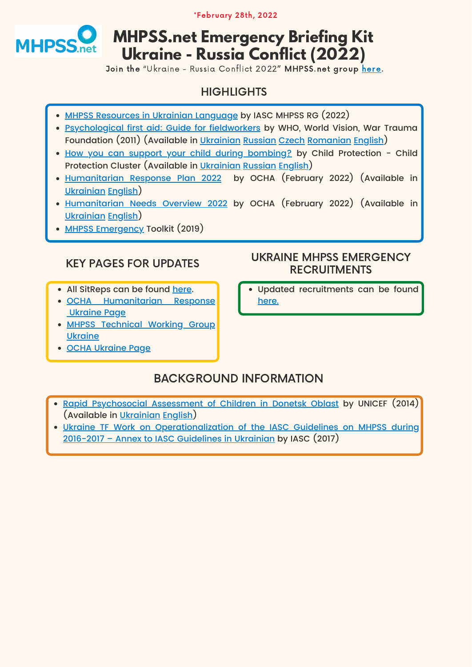#### KEY PAGES FOR UPDATES

- All SitReps can be found [here](https://reliefweb.int/updates?advanced-search=%28C241%29).
- **. OCHA [Humanitarian](https://www.humanitarianresponse.info/operations/ukraine) Response** [Ukraine Page](https://www.humanitarianresponse.info/operations/ukraine)
- MHPSS [Technical](https://www.humanitarianresponse.info/en/operations/ukraine/mental-health-and-psychosocial-support) Working Group **Ukraine**
- [OCHA Ukraine Page](https://www.unocha.org/ukraine)

- Rapid [Psychosocial](https://app.mhpss.net/?get=245/GfK-executive-summary_24_06_2014_FIN_UKR.pdf) Assessment of Children in Donetsk Oblast by UNICEF (2014) (Available in [Ukrainian](https://app.mhpss.net/?get=245/GfK-executive-summary_24_06_2014_FIN_UKR.pdf) [English](https://app.mhpss.net/?get=245/GfK-executive-summary_24_06_2014_FIN.pdf))
- Ukraine TF Work on Operationalization of the IASC Guidelines on MHPSS during [2016-2017 – Annex to IASC Guidelines in Ukrainian by IASC \(2017\)](https://app.mhpss.net/?get=245/ukraine-tf-work-on-operationalization-of-the-iasc-guidelines-on-mhpss-during-2016-2017_annex-to-iasc-guidelines_ukr.pdf)

#### UKRAINE MHPSS EMERGENCY RECRUITMENTS

Updated recruitments can be found [here.](https://app.mhpss.net/vacancies)

\*February 28th, 2022



# **MHPSS.net Emergency Briefing Kit Ukraine - Russia Conflict (2022)**

Join the "Ukraine - Russia Conflict 2022" MHPSS.net group [here](https://app.mhpss.net/groups/ukraine-russia-conflict-2022/)[.](https://app.mhpss.net/groups/current-mhpss-emergency-responses/haiti-2021-earthquake/)

### **HIGHLIGHTS**

- <u>MHPSS Resources in Ukrainian Language</u> by IASC MHPSS RG (2022)
- [Psychological](https://app.mhpss.net/?get=245/psychological-first-aid_guide-for-field-workers_ukrainian_e-version.pdf) first aid: Guide for fieldworkers by WHO, World Vision, War Trauma Foundation (2011) (Available in [Ukrainian](https://app.mhpss.net/?get=245/psychological-first-aid_guide-for-field-workers_ukrainian_e-version.pdf) [Russian](https://app.mhpss.net/?get=304/PFA-Russia.pdf) [Czech](https://app.mhpss.net/?get=148/9788090650992-cze.pdf) [Romanian](https://app.mhpss.net/?get=148/PFA-Romanian.pdf) [English](https://app.mhpss.net/?get=402/1321788909-PFAGuideforFieldworkers.pdf))
- How you can support your child during [bombing?](https://app.mhpss.net/?get=49/v4child-emotional-support-during-active-bombing_slh_ua.pdf) by Child Protection Child Protection Cluster (Available in [Ukrainian](https://app.mhpss.net/?get=49/v4child-emotional-support-during-active-bombing_slh_ua.pdf) [Russian](https://app.mhpss.net/?get=49/v4child-emotional-support-during-active-bombing_russian.pdf) [English](https://app.mhpss.net/?get=49/v4child-emotional-support-during-active-bombing_english.pdf))
- [Humanitarian](https://app.mhpss.net/?get=245/ukraine_2022-hrp_ua_2022-02-11_0.pdf) Response Plan 2022 by OCHA (February 2022) (Available in [Ukrainian](https://app.mhpss.net/?get=245/ukraine_2022-hrp_ua_2022-02-11_0.pdf) [English](https://app.mhpss.net/?get=245/ukraine_2022-hrp_eng_2022-02-11.pdf))
- Humanitarian Needs [Overview 2022](https://app.mhpss.net/?get=245/ukraine_2022_hno_ukr_2022-02-11.pdf) [b](https://app.mhpss.net/resource/ukraine-humanitarian-needs-overview-2022-february-2022)y OCHA (February 2022) (Available in [Ukrainian](https://app.mhpss.net/?get=245/ukraine_2022_hno_ukr_2022-02-11.pdf) [English](https://app.mhpss.net/?get=245/ukraine_2022_hno_eng_2022-02-11.pdf))
- [MHPSS Emergency](https://app.mhpss.net/?get=392/2019_mhpss_toolkit.pdf) Toolkit (2019)

# BACKGROUND INFORMATION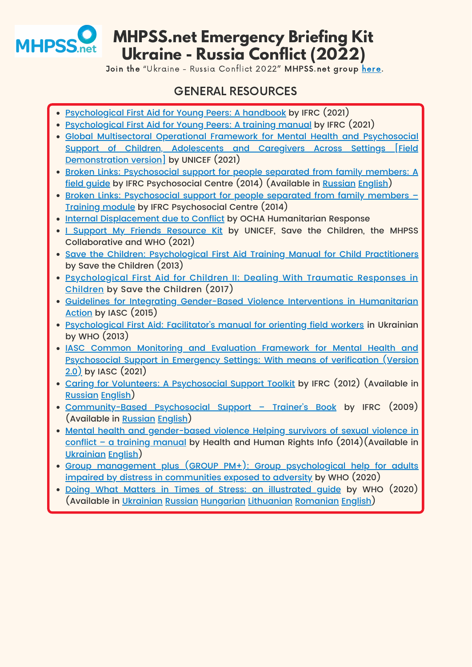#### GENERAL RESOURCES

- <u>Psychological First Aid for Young Peers: A handbook</u> by IFRC (2021)
- [Psychological First Aid for Young Peers: A training manual](https://pscentre.org/?resource=psychological-first-aid-for-young-peers-a-training-manual&wpv_search=true&fbclid=IwAR0W131IT1LRQCq94TKXVJ2wXkj1WJzLBravRJOJtubWJS6xQ3iipHLgmdM) by IFRC (2021)
- Global Multisectoral Operational Framework for Mental Health and Psychosocial Support of Children, Adolescents and Caregivers Across Settings [Field [Demonstration version\] by UNICEF \(2021\)](https://app.mhpss.net/?get=57/unicef-mh-and-ps-technical-note-2019.pdf.pdf)
- Broken Links: Psychosocial support for people separated from family members: A [field guide by IFRC Psychosocial Centre \(2014\) \(Available in](https://app.mhpss.net/?get=51/Broken-Links_Psychosocial-Support-for-People_fieldguide.pdf) [Russian](https://app.mhpss.net/?get=49/broken-links-russian.pdf) [English](https://app.mhpss.net/?get=51/Broken-Links_Psychosocial-Support-for-People_fieldguide.pdf))
- Broken Links: Psychosocial support for people separated from family members -[Training module by IFRC Psychosocial Centre \(2014\)](https://app.mhpss.net/?get=304/1701_psc_brokenlinks_train_T2.pdf)
- [Internal Displacement due to Conflict](https://www.humanitarianresponse.info/en/operations/afghanistan/idps) by OCHA Humanitarian Response
- . I Support My Friends [Resource](https://app.mhpss.net/ismf) Kit by UNICEF, Save the Children, the MHPSS Collaborative and WHO (2021)
- **. Save the Children: [Psychological](https://app.mhpss.net/?get=402/final_pfa.compressed-min.pdf) First Aid Training Manual for Child Practitioners** by Save the Children (2013)
- [Psychological](https://app.mhpss.net/?get=402/pfa-for-children-2_dealing-with-traumatic-responses-in-children.pdf) First Aid for Children II: Dealing With Traumatic Responses in Children by Save the Children (2017)
- Guidelines for Integrating Gender-Based Violence Interventions in Humanitarian [Action by IASC \(2015\)](https://app.mhpss.net/?get=402/2015-iasc-gender-based-violence-guidelines_lo-res.pdf)
- [Psychological](https://app.mhpss.net/?get=245/psychological-first-aid_facilitators-manual-for-orienting-field-workers_ukrainian_e-version.pdf) First Aid: Facilitator's manual for orienting field workers in Ukrainian by WHO (2013)
- IASC Common Monitoring and Evaluation Framework for Mental Health and Psychosocial Support in Emergency Settings: With means of verification (Version 2.0) [by IASC \(2021\)](https://app.mhpss.net/?get=393/iasc-common-monitoring-and-evaluation-framework-for-mental-health-and-psychosocial-support-in-emergency-settings-with-means-of-verification-version-2.0.pdf)
- Caring for Volunteers: A [Psychosocial](https://app.mhpss.net/?get=354/caring-for-volunteers-a-psychosocial-support-toolkit.pdf) Support Toolkit by IFRC (2012) (Available in [Russian](https://app.mhpss.net/?get=310/1376642822-volunteers_RU.pdf) [English\)](https://app.mhpss.net/?get=354/caring-for-volunteers-a-psychosocial-support-toolkit.pdf)
- [Community-Based](https://app.mhpss.net/?get=22/1328076457-Trainersbook.pdf) Psychosocial Support Trainer's Book by IFRC (2009) (Available in [Russian](https://app.mhpss.net/?get=309/2.21_pss-training-kit-trainers-book.pdf) [English](https://app.mhpss.net/?get=22/1328076457-Trainersbook.pdf))
- Mental health and gender-based violence Helping survivors of sexual violence in conflict – a training manual by Health and Human Rights Info [\(2014\)\(Available](https://app.mhpss.net/?get=81/ukrainian-mentalhealthandgenderbasedviolene2016.pdf) in [Ukrainian](https://app.mhpss.net/?get=81/ukrainian-mentalhealthandgenderbasedviolene2016.pdf) [English](https://app.mhpss.net/?get=81/hhri_en_gbv.pdf))
- Group management plus (GROUP PM+): Group psychological help for adults [impaired by distress in communities exposed to adversity by WHO \(2020\)](https://app.mhpss.net/wp-content/uploads/2020/09/9789240008106-eng.pdf)
- <u>Doing What Matters in Times of Stress: an [illustrated](https://app.mhpss.net/?get=372/who-euro-2021-361-40096-56774-ukr.pdf) guide</u> by WHO [\(2020\)](https://app.mhpss.net/?get=372/who-euro-2021-361-40096-56774-ukr.pdf) (Available in [Ukrainian](https://app.mhpss.net/?get=372/who-euro-2021-361-40096-56774-ukr.pdf) [Russian](https://app.mhpss.net/?get=354/9789240009547-rus.pdf) [Hungarian](https://app.mhpss.net/?get=354/who-euro-2020-361-40096-55426-hun.pdf) [Lithuanian](https://app.mhpss.net/?get=354/9789240003910-lit.pdf) [Romanian](https://app.mhpss.net/?get=354/who-euro-2020-361-40096-55995-rom.pdf) [English](https://app.mhpss.net/?get=372/9789240003910-eng.pdf)[\)](https://app.mhpss.net/?get=372/who-euro-2021-361-40096-56774-ukr.pdf)

|  |  | _________ |
|--|--|-----------|
|  |  |           |
|  |  |           |
|  |  |           |



Join the "Ukraine - Russia Conflict 2022" MHPSS.net group [here](https://app.mhpss.net/groups/ukraine-russia-conflict-2022/)[.](https://app.mhpss.net/groups/current-mhpss-emergency-responses/haiti-2021-earthquake/)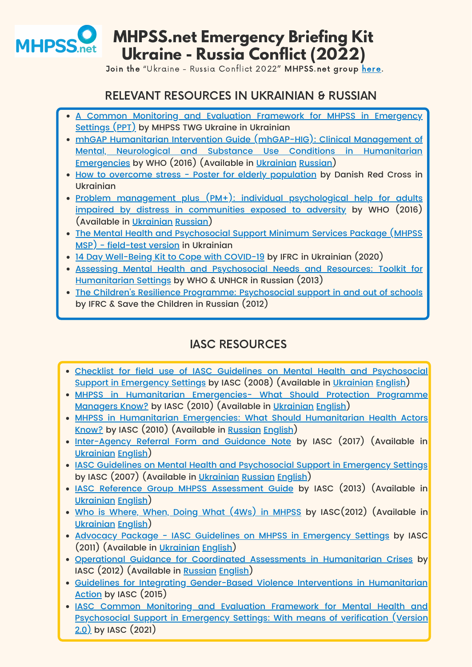#### RELEVANT RESOURCES IN UKRAINIAN & RUSSIAN

- A Common Monitoring and Evaluation Framework for MHPSS in Emergency Settings (PPT) [by MHPSS TWG Ukraine in Ukrainian](https://app.mhpss.net/?get=245/4.zagalna-metodika-monitoringu-i-ocinki.pdf)
- [m](https://app.mhpss.net/?get=366/4.1b_9789241548922-ukr.pdf)hGAP Humanitarian Intervention Guide [\(mhGAP-HIG\):](https://app.mhpss.net/?get=366/4.1b_9789241548922-ukr.pdf) Clinical Management of Mental, Neurological and Substance Use Conditions in Humanitarian [Emergencies by WHO \(2016\) \(Available in](https://app.mhpss.net/?get=366/4.1b_9789241548922-ukr.pdf) [Ukrainian](https://app.mhpss.net/?get=366/4.1b_9789241548922-ukr.pdf) [Russian](https://app.mhpss.net/?get=366/4.1b_9789244548929_rus.pdf))
- How to overcome stress Poster for elderly [population](https://app.mhpss.net/?get=245/plakat-a2-dlja-ljude%C4%AD-pohilogo-viku.pdf) by Danish Red Cross in Ukrainian
- <u>Problem management plus (PM+): individual [psychological](https://app.mhpss.net/?get=245/who_pmplus_ukr.pdf) help for adults</u> impaired by distress in communities exposed to adversity by WHO (2016) (Available in [Ukrainian](https://app.mhpss.net/?get=245/who_pmplus_ukr.pdf) [Russian\)](https://app.mhpss.net/?get=69/pm_russian.pdf)
- The Mental Health and Psychosocial Support Minimum Services Package (MHPSS [MSP\) - field-test version in Ukrainian](https://mhpssmsp.org/uk)
- <u>[14 Day Well-Being Kit to Cope with COVID-19](https://app.mhpss.net/?get=354/14-day-wellebing-diary-ukrainian.pdf)</u> by IFRC in Ukrainian (2020)
- Assessing Mental Health and Psychosocial Needs and Resources: Toolkit for [Humanitarian Settings by WHO & UNHCR in Russian \(2013\)](https://app.mhpss.net/?get=304/WHOUNHCR-MHPSS-in-humanitarian-settings_rus.pdf)
- The Children's Resilience Programme: [Psychosocial](https://app.mhpss.net/?get=57/the-childrens-resilience-programme-psychosocial-support-in-and-out-of-schools-russian.zip) support in and out of schools by IFRC & Save the Children in Russian (2012)



Join the "Ukraine - Russia Conflict 2022" MHPSS.net group [here](https://app.mhpss.net/groups/ukraine-russia-conflict-2022/)[.](https://app.mhpss.net/groups/current-mhpss-emergency-responses/haiti-2021-earthquake/)

# IASC RESOURCES

- Checklist for field use of IASC Guidelines on Mental Health and Psychosocial [Support in Emergency Settings by IASC \(2008\) \(Available in](https://app.mhpss.net/?get=245/checklist-for-field-use_ukrainian_e-version.pdf) [Ukrainian](https://app.mhpss.net/?get=245/checklist-for-field-use_ukrainian_e-version.pdf) [English\)](https://app.mhpss.net/?get=187/1366768608-2.IASCChecklistfortheField.pdf)
- MHPSS in Humanitarian Emergencies- What Should Protection Programme [Managers Know? by IASC \(2010\) \(Available in](https://app.mhpss.net/?get=245/mhpss-in-humanitarian-emergencies_what-should-protection-programme-managers-know_ukrainian_e-version.pdf) [Ukrainian](https://app.mhpss.net/?get=245/mhpss-in-humanitarian-emergencies_what-should-protection-programme-managers-know_ukrainian_e-version.pdf) [English](https://app.mhpss.net/?get=386/1.3_mhpss-protection-actors.pdf))
- MHPSS in Humanitarian Emergencies: What Should Humanitarian Health Actors [Know? by IASC \(2010\) \(Available in](https://app.mhpss.net/?get=304/1.3_what_humanitarian_health_actors_should_know_russian.pdf) [Russian](https://app.mhpss.net/?get=304/1.3_what_humanitarian_health_actors_should_know_russian.pdf) [English](https://app.mhpss.net/?get=143/1319679693-MHPSSHealthActors.pdf))
- . [Inter-Agency](https://app.mhpss.net/?get=245/inter-agency-referral-form-and-guidance-note_ukrainian_e-version.pdf) Referral Form and Guidance Note by IASC (2017) (Available in [Ukrainian](https://app.mhpss.net/?get=245/inter-agency-referral-form-and-guidance-note_ukrainian_e-version.pdf) [English](https://app.mhpss.net/?get=78/1866_psc_iasc_ref_guidance_t2_digital.pdf))
- . IASC Guidelines on Mental Health and [Psychosocial](https://app.mhpss.net/?get=78/iasc_mhpss_guidelines_ukrainian.pdf) Support in Emergency Settings by IASC (2007) (Available in [Ukrainian](https://app.mhpss.net/?get=78/iasc_mhpss_guidelines_ukrainian.pdf) [Russian](https://app.mhpss.net/?get=78/iasc_mhpss_guidelines_russian.pdf) [English](https://app.mhpss.net/?get=78/iasc_guidelines_gr_aprill.pdf))
- IASC Reference Group MHPSS [Assessment](https://app.mhpss.net/?get=245/iasc-reference-group-mental-health-and-psychosocial-support-assessment-guide_ukrainian_e-version.pdf) Guide by IASC (2013) (Available in [Ukrainian](https://app.mhpss.net/?get=245/iasc-reference-group-mental-health-and-psychosocial-support-assessment-guide_ukrainian_e-version.pdf) [English](https://app.mhpss.net/?get=401/1384515558-201304IASCRGonMHPSSAssessmentGuide.pdf))
- 
- Who is [Where,](https://app.mhpss.net/?get=245/who-is-where-when-doing-what-4ws-in-mhpss_manual-with-activity-codes_ukrainian_e-version.pdf) When, Doing What (4Ws) in MHPSS by IASC(2012) (Available in [Ukrainian](https://app.mhpss.net/?get=245/who-is-where-when-doing-what-4ws-in-mhpss_manual-with-activity-codes_ukrainian_e-version.pdf) [English](https://app.mhpss.net/?get=401/1355511992-iasc_4ws.pdf))
- Advocacy Package IASC Guidelines on MHPSS in [Emergency](https://app.mhpss.net/?get=245/advosacy-package_ukrainian_e-version.pdf) Settings by IASC (2011) (Available in [Ukrainian](https://app.mhpss.net/?get=245/advosacy-package_ukrainian_e-version.pdf) [English\)](https://app.mhpss.net/?get=401/1384949190-Advocacypackage_IASCGuidelinesonMentalHealthandPsychosocialSupportinEmergencySettings.pdf)
- Operational Guidance for Coordinated Assessments in [Humanitarian](https://app.mhpss.net/?get=78/operational_guidance_vrussian.pdf) Crises by IASC (2012) (Available in [Russian](https://app.mhpss.net/?get=78/operational_guidance_vrussian.pdf) [English\)](https://app.mhpss.net/?get=78/ops_guidance_finalversion2012_1.pdf)
- Guidelines for Integrating Gender-Based Violence Interventions in Humanitarian [Action by IASC \(2015\)](https://app.mhpss.net/?get=402/2015-iasc-gender-based-violence-guidelines_lo-res.pdf)
- . IASC Common Monitoring and Evaluation Framework for Mental Health and Psychosocial Support in Emergency Settings: With means of verification (Version [2.0\) by IASC \(2021\)](https://app.mhpss.net/?get=393/iasc-common-monitoring-and-evaluation-framework-for-mental-health-and-psychosocial-support-in-emergency-settings-with-means-of-verification-version-2.0.pdf)